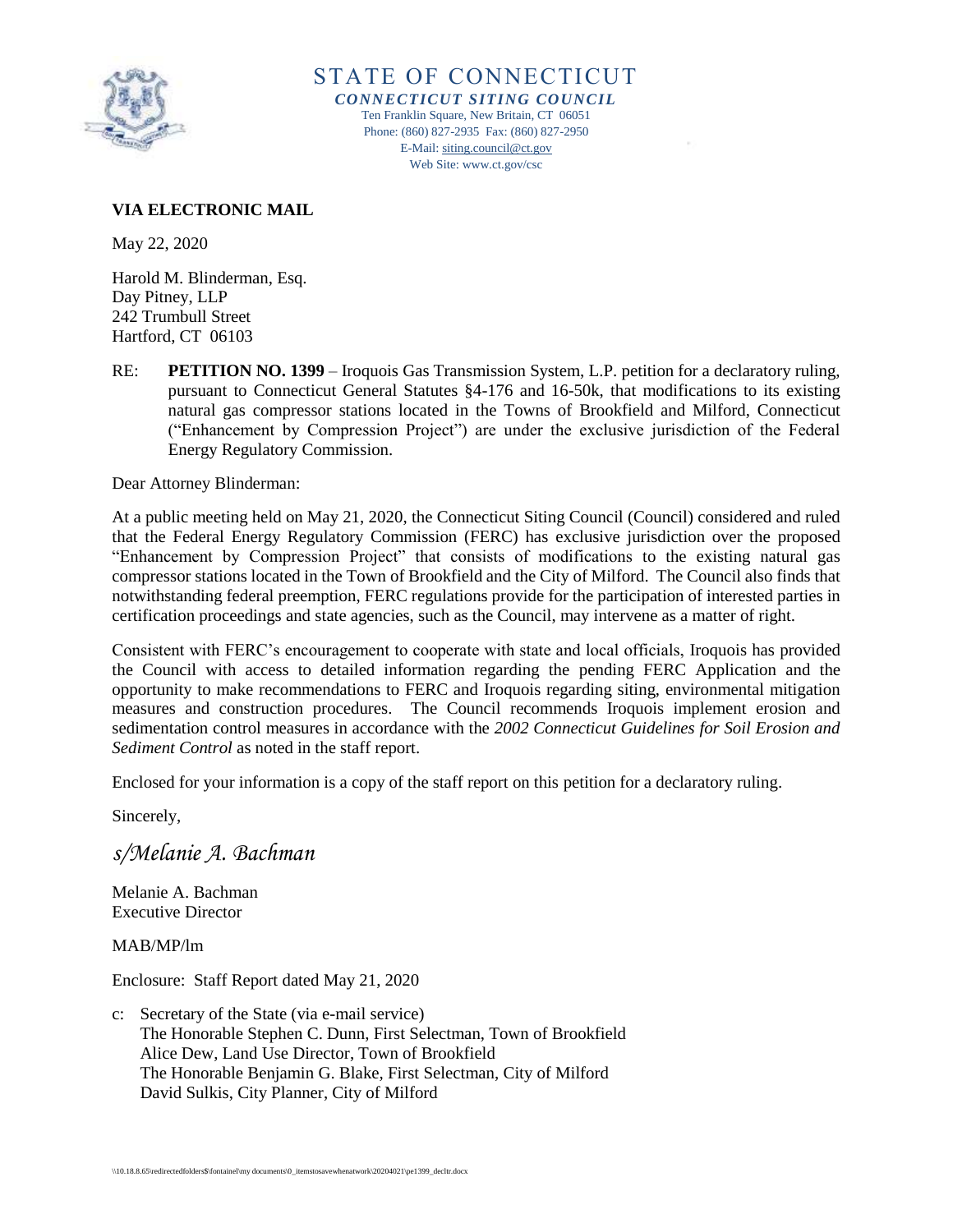

STATE OF CONNECTICUT *CONNECTICUT SITING COUNCIL* Ten Franklin Square, New Britain, CT 06051 Phone: (860) 827-2935 Fax: (860) 827-2950 E-Mail[: siting.council@ct.gov](mailto:siting.council@ct.gov) Web Site: www.ct.gov/csc

## **VIA ELECTRONIC MAIL**

May 22, 2020

Harold M. Blinderman, Esq. Day Pitney, LLP 242 Trumbull Street Hartford, CT 06103

RE: **PETITION NO. 1399** – Iroquois Gas Transmission System, L.P. petition for a declaratory ruling, pursuant to Connecticut General Statutes §4-176 and 16-50k, that modifications to its existing natural gas compressor stations located in the Towns of Brookfield and Milford, Connecticut ("Enhancement by Compression Project") are under the exclusive jurisdiction of the Federal Energy Regulatory Commission.

Dear Attorney Blinderman:

At a public meeting held on May 21, 2020, the Connecticut Siting Council (Council) considered and ruled that the Federal Energy Regulatory Commission (FERC) has exclusive jurisdiction over the proposed "Enhancement by Compression Project" that consists of modifications to the existing natural gas compressor stations located in the Town of Brookfield and the City of Milford. The Council also finds that notwithstanding federal preemption, FERC regulations provide for the participation of interested parties in certification proceedings and state agencies, such as the Council, may intervene as a matter of right.

Consistent with FERC's encouragement to cooperate with state and local officials, Iroquois has provided the Council with access to detailed information regarding the pending FERC Application and the opportunity to make recommendations to FERC and Iroquois regarding siting, environmental mitigation measures and construction procedures. The Council recommends Iroquois implement erosion and sedimentation control measures in accordance with the *2002 Connecticut Guidelines for Soil Erosion and Sediment Control* as noted in the staff report.

Enclosed for your information is a copy of the staff report on this petition for a declaratory ruling.

Sincerely,

*s/Melanie A. Bachman*

Melanie A. Bachman Executive Director

MAB/MP/lm

Enclosure: Staff Report dated May 21, 2020

c: Secretary of the State (via e-mail service) The Honorable Stephen C. Dunn, First Selectman, Town of Brookfield Alice Dew, Land Use Director, Town of Brookfield The Honorable Benjamin G. Blake, First Selectman, City of Milford David Sulkis, City Planner, City of Milford

\\10.18.8.65\redirectedfolders\$\fontainel\my documents\0\_itemstosavewhenatwork\20204021\pe1399\_decltr.docx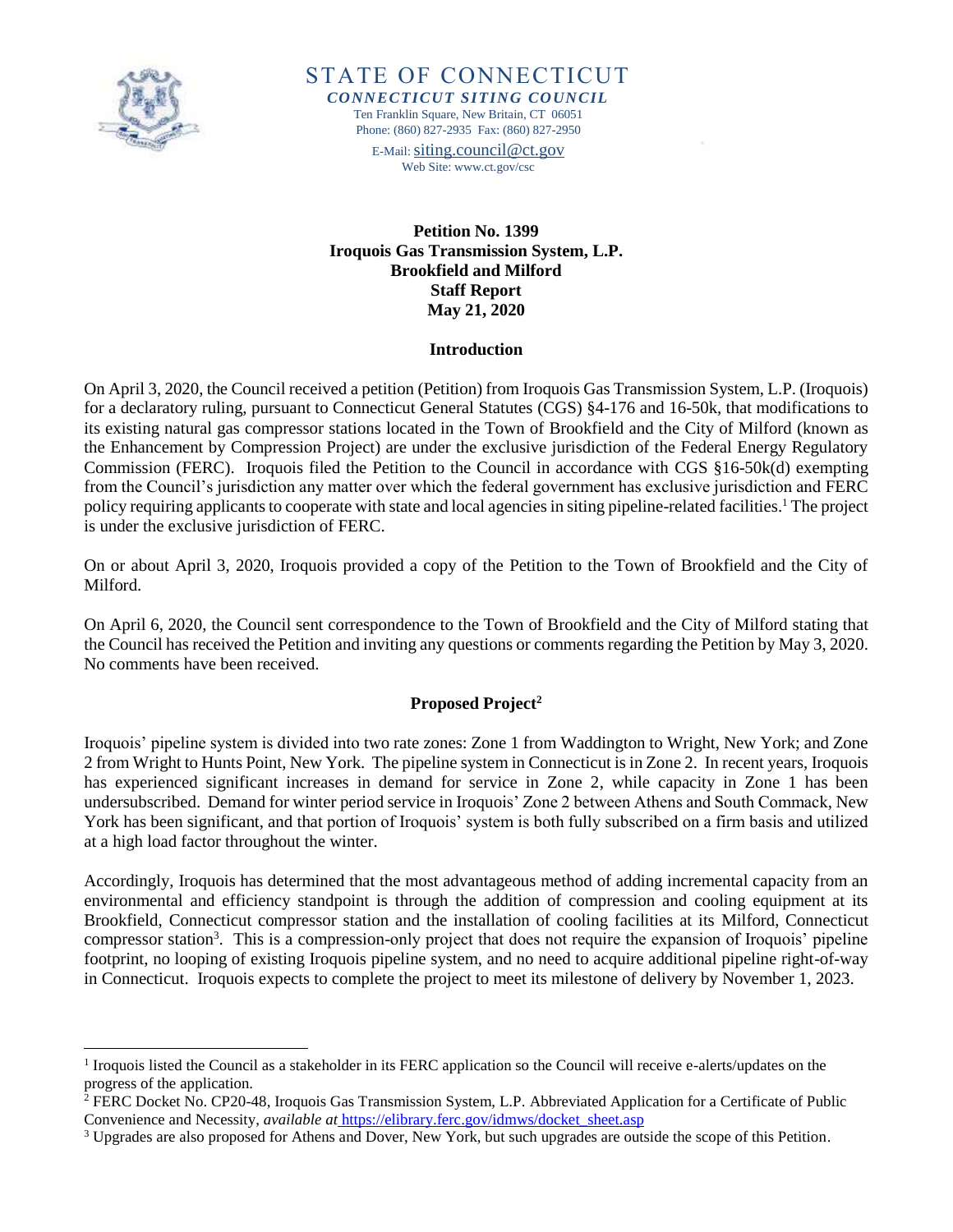

l

STATE OF CONNECTICUT *CONNECTICUT SITING COUNCIL* Ten Franklin Square, New Britain, CT 06051 Phone: (860) 827-2935 Fax: (860) 827-2950

E-Mail: [siting.council@ct.gov](mailto:siting.council@ct.gov) Web Site: www.ct.gov/csc

**Petition No. 1399 Iroquois Gas Transmission System, L.P. Brookfield and Milford Staff Report May 21, 2020**

#### **Introduction**

On April 3, 2020, the Council received a petition (Petition) from Iroquois Gas Transmission System, L.P. (Iroquois) for a declaratory ruling, pursuant to Connecticut General Statutes (CGS) §4-176 and 16-50k, that modifications to its existing natural gas compressor stations located in the Town of Brookfield and the City of Milford (known as the Enhancement by Compression Project) are under the exclusive jurisdiction of the Federal Energy Regulatory Commission (FERC). Iroquois filed the Petition to the Council in accordance with CGS §16-50k(d) exempting from the Council's jurisdiction any matter over which the federal government has exclusive jurisdiction and FERC policy requiring applicants to cooperate with state and local agencies in siting pipeline-related facilities.<sup>1</sup> The project is under the exclusive jurisdiction of FERC.

On or about April 3, 2020, Iroquois provided a copy of the Petition to the Town of Brookfield and the City of Milford.

On April 6, 2020, the Council sent correspondence to the Town of Brookfield and the City of Milford stating that the Council has received the Petition and inviting any questions or comments regarding the Petition by May 3, 2020. No comments have been received.

## **Proposed Project<sup>2</sup>**

Iroquois' pipeline system is divided into two rate zones: Zone 1 from Waddington to Wright, New York; and Zone 2 from Wright to Hunts Point, New York. The pipeline system in Connecticut is in Zone 2. In recent years, Iroquois has experienced significant increases in demand for service in Zone 2, while capacity in Zone 1 has been undersubscribed. Demand for winter period service in Iroquois' Zone 2 between Athens and South Commack, New York has been significant, and that portion of Iroquois' system is both fully subscribed on a firm basis and utilized at a high load factor throughout the winter.

Accordingly, Iroquois has determined that the most advantageous method of adding incremental capacity from an environmental and efficiency standpoint is through the addition of compression and cooling equipment at its Brookfield, Connecticut compressor station and the installation of cooling facilities at its Milford, Connecticut compressor station<sup>3</sup>. This is a compression-only project that does not require the expansion of Iroquois' pipeline footprint, no looping of existing Iroquois pipeline system, and no need to acquire additional pipeline right-of-way in Connecticut. Iroquois expects to complete the project to meet its milestone of delivery by November 1, 2023.

<sup>&</sup>lt;sup>1</sup> Iroquois listed the Council as a stakeholder in its FERC application so the Council will receive e-alerts/updates on the progress of the application.

<sup>2</sup> FERC Docket No. CP20-48, Iroquois Gas Transmission System, L.P. Abbreviated Application for a Certificate of Public Convenience and Necessity, *available at* https://elibrary.ferc.gov/idmws/docket\_sheet.asp

<sup>3</sup> Upgrades are also proposed for Athens and Dover, New York, but such upgrades are outside the scope of this Petition.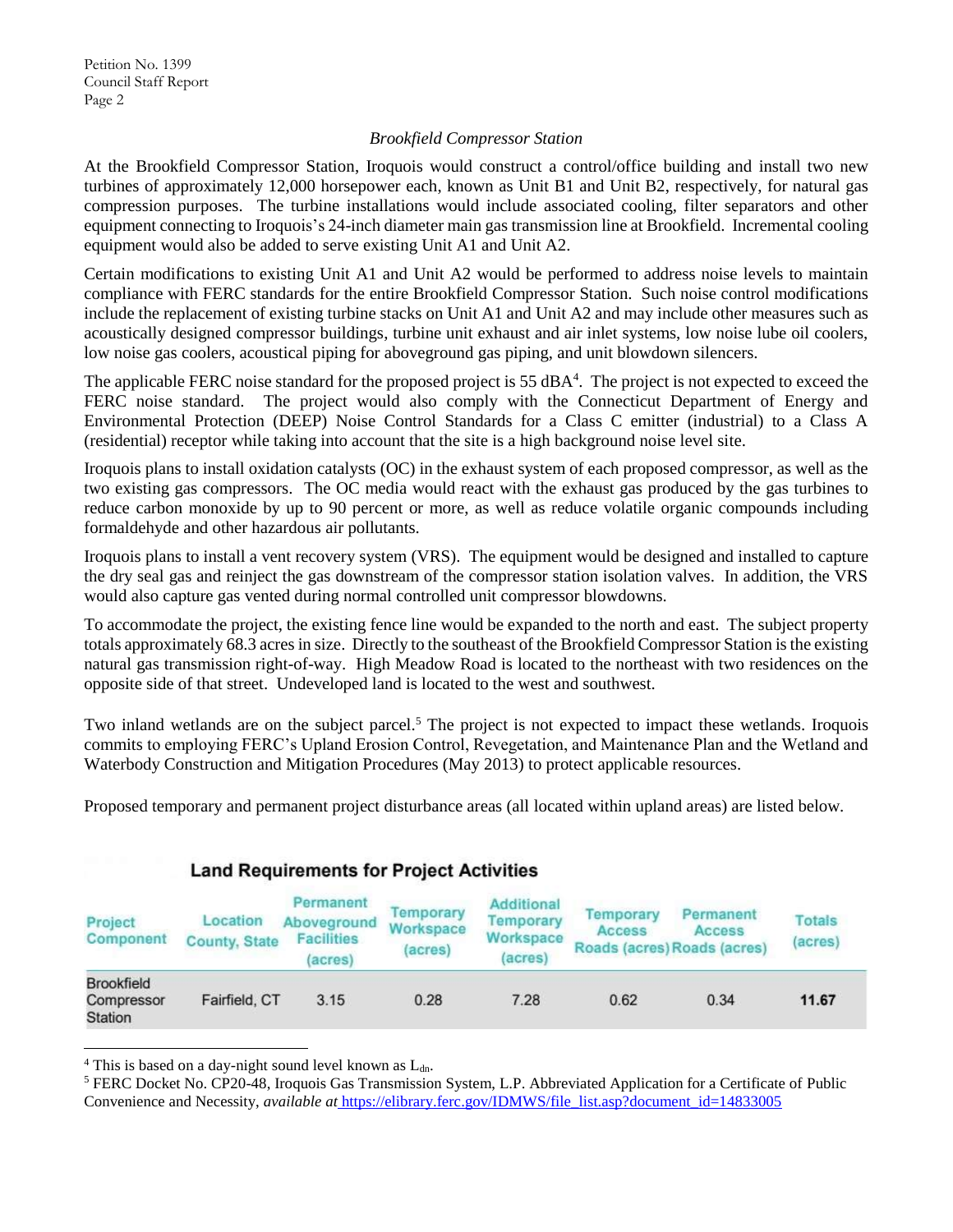## *Brookfield Compressor Station*

At the Brookfield Compressor Station, Iroquois would construct a control/office building and install two new turbines of approximately 12,000 horsepower each, known as Unit B1 and Unit B2, respectively, for natural gas compression purposes. The turbine installations would include associated cooling, filter separators and other equipment connecting to Iroquois's 24-inch diameter main gas transmission line at Brookfield. Incremental cooling equipment would also be added to serve existing Unit A1 and Unit A2.

Certain modifications to existing Unit A1 and Unit A2 would be performed to address noise levels to maintain compliance with FERC standards for the entire Brookfield Compressor Station. Such noise control modifications include the replacement of existing turbine stacks on Unit A1 and Unit A2 and may include other measures such as acoustically designed compressor buildings, turbine unit exhaust and air inlet systems, low noise lube oil coolers, low noise gas coolers, acoustical piping for aboveground gas piping, and unit blowdown silencers.

The applicable FERC noise standard for the proposed project is 55 dBA<sup>4</sup>. The project is not expected to exceed the FERC noise standard. The project would also comply with the Connecticut Department of Energy and Environmental Protection (DEEP) Noise Control Standards for a Class C emitter (industrial) to a Class A (residential) receptor while taking into account that the site is a high background noise level site.

Iroquois plans to install oxidation catalysts (OC) in the exhaust system of each proposed compressor, as well as the two existing gas compressors. The OC media would react with the exhaust gas produced by the gas turbines to reduce carbon monoxide by up to 90 percent or more, as well as reduce volatile organic compounds including formaldehyde and other hazardous air pollutants.

Iroquois plans to install a vent recovery system (VRS). The equipment would be designed and installed to capture the dry seal gas and reinject the gas downstream of the compressor station isolation valves. In addition, the VRS would also capture gas vented during normal controlled unit compressor blowdowns.

To accommodate the project, the existing fence line would be expanded to the north and east. The subject property totals approximately 68.3 acres in size. Directly to the southeast of the Brookfield Compressor Station is the existing natural gas transmission right-of-way. High Meadow Road is located to the northeast with two residences on the opposite side of that street. Undeveloped land is located to the west and southwest.

Two inland wetlands are on the subject parcel.<sup>5</sup> The project is not expected to impact these wetlands. Iroquois commits to employing FERC's Upland Erosion Control, Revegetation, and Maintenance Plan and the Wetland and Waterbody Construction and Mitigation Procedures (May 2013) to protect applicable resources.

Proposed temporary and permanent project disturbance areas (all located within upland areas) are listed below.

| Project<br>Component                              | Location<br><b>County, State</b> | Permanent<br>Aboveground<br><b>Facilities</b><br>(acres) | Temporary<br>Workspace<br>(acres) | Additional<br>Temporary<br>Workspace<br>(acres) | <b>Femporary</b><br><b>Access</b> | Permanent<br>Access<br>Roads (acres) Roads (acres) | Totals<br>(acres) |  |
|---------------------------------------------------|----------------------------------|----------------------------------------------------------|-----------------------------------|-------------------------------------------------|-----------------------------------|----------------------------------------------------|-------------------|--|
| <b>Brookfield</b><br>Compressor<br><b>Station</b> | Fairfield, CT                    | 3.15                                                     | 0.28                              | 7.28                                            | 0.62                              | 0.34                                               | 11.67             |  |

# **Land Requirements for Project Activities**

 $4$  This is based on a day-night sound level known as  $L_{dn}$ .

l

<sup>5</sup> FERC Docket No. CP20-48, Iroquois Gas Transmission System, L.P. Abbreviated Application for a Certificate of Public Convenience and Necessity, *available at* [https://elibrary.ferc.gov/IDMWS/file\\_list.asp?document\\_id=14833005](https://elibrary.ferc.gov/IDMWS/file_list.asp?document_id=14833005)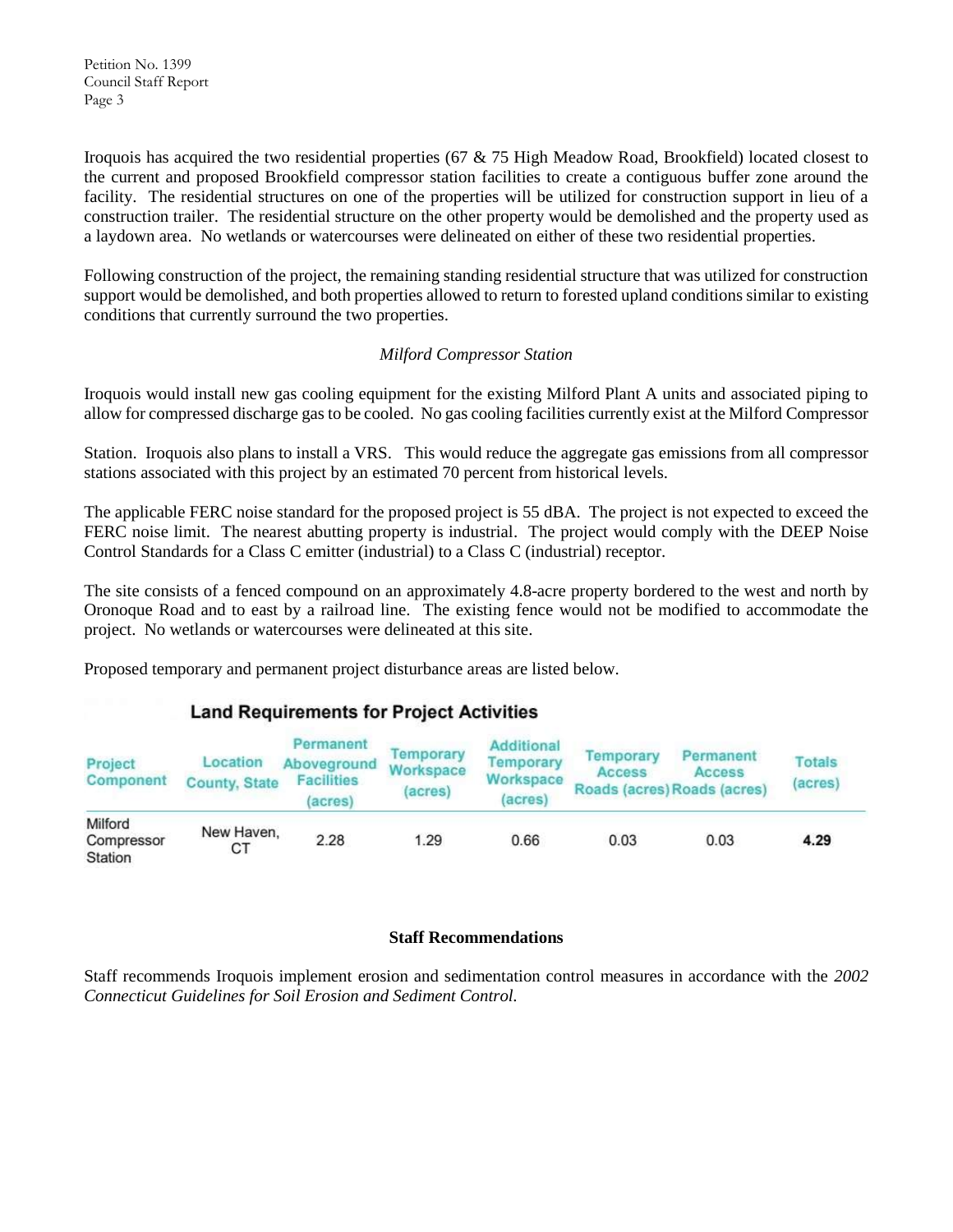Petition No. 1399 Council Staff Report Page 3

Iroquois has acquired the two residential properties (67 & 75 High Meadow Road, Brookfield) located closest to the current and proposed Brookfield compressor station facilities to create a contiguous buffer zone around the facility. The residential structures on one of the properties will be utilized for construction support in lieu of a construction trailer. The residential structure on the other property would be demolished and the property used as a laydown area. No wetlands or watercourses were delineated on either of these two residential properties.

Following construction of the project, the remaining standing residential structure that was utilized for construction support would be demolished, and both properties allowed to return to forested upland conditions similar to existing conditions that currently surround the two properties.

## *Milford Compressor Station*

Iroquois would install new gas cooling equipment for the existing Milford Plant A units and associated piping to allow for compressed discharge gas to be cooled. No gas cooling facilities currently exist at the Milford Compressor

Station. Iroquois also plans to install a VRS. This would reduce the aggregate gas emissions from all compressor stations associated with this project by an estimated 70 percent from historical levels.

The applicable FERC noise standard for the proposed project is 55 dBA. The project is not expected to exceed the FERC noise limit. The nearest abutting property is industrial. The project would comply with the DEEP Noise Control Standards for a Class C emitter (industrial) to a Class C (industrial) receptor.

The site consists of a fenced compound on an approximately 4.8-acre property bordered to the west and north by Oronoque Road and to east by a railroad line. The existing fence would not be modified to accommodate the project. No wetlands or watercourses were delineated at this site.

Proposed temporary and permanent project disturbance areas are listed below.

# **Land Requirements for Project Activities**

| Project<br>Component             | Location<br><b>County, State</b> | Permanent<br>Aboveground<br><b>Facilities</b><br>acres) | Temporary<br>Workspace<br>(acres) | <b>Additional</b><br>Temporary<br>Workspace<br>(acres) | Temporary<br><b>Access</b> | Permanent<br>Access<br>Roads (acres) Roads (acres) | Totals<br>(acres) |
|----------------------------------|----------------------------------|---------------------------------------------------------|-----------------------------------|--------------------------------------------------------|----------------------------|----------------------------------------------------|-------------------|
| Milford<br>Compressor<br>Station | New Haven.<br>СT                 | 2.28                                                    | 1.29                              | 0.66                                                   | 0.03                       | 0.03                                               | 4.29              |

## **Staff Recommendations**

Staff recommends Iroquois implement erosion and sedimentation control measures in accordance with the *2002 Connecticut Guidelines for Soil Erosion and Sediment Control.*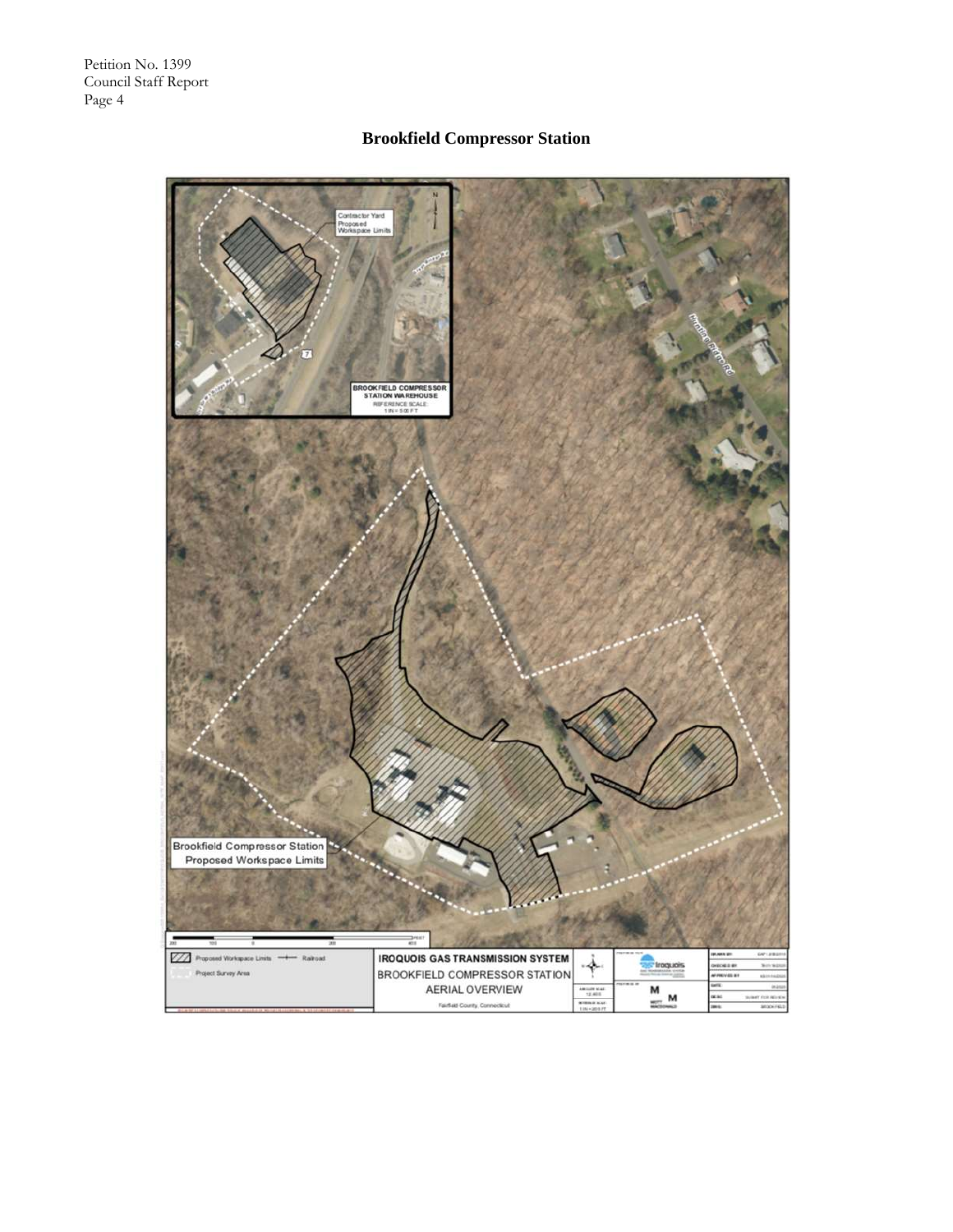# **Brookfield Compressor Station**